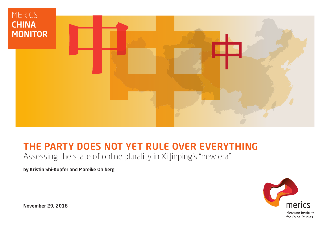

# THE PARTY DOES NOT YET RULE OVER EVERYTHING Assessing the state of online plurality in Xi Jinping's "new era"

by Kristin Shi-Kupfer and Mareike Ohlberg



November 29, 2018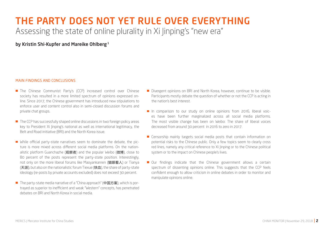# THE PARTY DOES NOT YET RULE OVER EVERYTHING Assessing the state of online plurality in Xi Jinping's "new era"

by Kristin Shi-Kupfer and Mareike Ohlberg<sup>1</sup>

#### MAIN FINDINGS AND CONCLUSIONS

- The Chinese Communist Party's (CCP) increased control over Chinese society has resulted in a more limited spectrum of opinions expressed online. Since 2017, the Chinese government has introduced new stipulations to enforce user and content control also in semi-closed discussion forums and private chat groups.
- The CCP has successfully shaped online discussions in two foreign policy areas key to President Xi Jinping's national as well as international legitimacy, the Belt and Road initiative (BRI) and the North Korea issue.
- While official party-state narratives seem to dominate the debate, the picture is more mixed across different social media platforms. On the nationalistic platform Guanchazhe (观察者) and the popular Weibo (微博), close to 80 percent of the posts represent the party-state position. Interestingly, not only on the more liberal forums like Maoyankanren (猫眼看人) or Tianya (天涯), but also on the nationalistic forum Tiexue (铁血), the share of party-state ideology (re-posts by private accounts excluded) does not exceed 30 percent.
- The party-state media narrative of a "China approach" (中国方案), which is portrayed as superior to inefficient and weak "Western" concepts, has penetrated debates on BRI and North Korea in social media.
- Divergent opinions on BRI and North Korea, however, continue to be visible. Participants mostly debate the question of whether or not the CCP is acting in the nation's best interest.
- In comparison to our study on online opinions from 2016, liberal voices have been further marginalized across all social media platforms. The most visible change has been on Weibo: The share of liberal voices decreased from around 30 percent in 2016 to zero in 2017.
- **E** Censorship mainly targets social media posts that contain information on potential risks to the Chinese public. Only a few topics seem to clearly cross red lines, namely any critical reference to Xi Jinping or to the Chinese political system or to the impact on Chinese people's lives.
- Our findings indicate that the Chinese government allows a certain spectrum of dissenting opinions online. This suggests that the CCP feels confident enough to allow criticism in online debates in order to monitor and manipulate opinions online.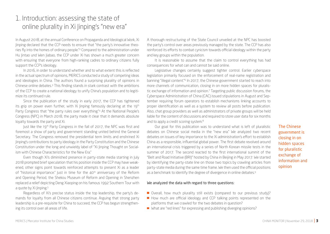# 1. Introduction: assessing the state of online plurality in Xi linping's "new era"

In August 2018, at the annual Conference on Propaganda and Ideological Work, Xi Jinping declared that the CCP needs to ensure that "the party's innovative theories fly into the homes of ordinary people."2 Compared to the administration under Hu Jintao und Wen Jiabao, the CCP under Xi has shown a much greater concern with ensuring that everyone from high-ranking cadres to ordinary citizens fully support the CCP's ideology.

In 2016, in order to understand whether and to what extent this is reflected in the actual spectrum of opinions, MERICS conducted a study of competing ideas and ideologies in China. The authors found a surprising plurality of opinions in Chinese online debates.3 This finding stands in stark contrast with the ambitions of the CCP to create a national ideology to unify China's population and to legitimize its continued rule.

Since the publication of the study in early 2017, the CCP has tightened its grip on power even further, with Xi linping famously declaring at the 19<sup>th</sup> Party Congress that "the party rules over everything."4 At the National People's Congress (NPC) in March 2018, the party made it clear that it demands absolute loyalty towards the party and Xi.

Just like the 19<sup>th</sup> Party Congress in the fall of 2017, the NPC was first and foremost a show of party and government standing united behind the General Secretary. The Congress removed the presidential term limits and enshrined Xi Jinping's contributions to party ideology in the Party Constitution and the Chinese Constitution under the long and unwieldy label of "Xi Jinping Thought on Socialism with Chinese Characteristics for the New Era."

Even though Xi's diminished presence in party-state media starting in July 2018 prompted brief speculation that his position inside the CCP may have weakened, other signs point towards reinforced attempts to present Xi as a leader of "historical importance." Just in time for the 40<sup>th</sup> anniversary of the Reform and Opening Period, the Shekou Museum of Reform and Opening in Shenzhen replaced a relief depicting Deng Xiaoping on his famous 1992 Southern Tour with a quote by Xi linping.<sup>5</sup>

Regardless of Xi's precise status inside the top leadership, the party's demands for loyalty from all Chinese citizens continue. Arguing that strong party leadership is a pre-requisite for China to succeed, the CCP has begun strengthening its control over all areas of life.

A thorough restructuring of the State Council unveiled at the NPC has boosted the party's control over areas previously managed by the state. The CCP has also reinforced its efforts to combat cynicism towards official ideology within the party and key groups within the population.

It is reasonable to assume that the claim to control everything has had consequences for what can and cannot be said online.

Legislative changes certainly suggest tighter control. Earlier cyberspace legislation primarily focused on the enforcement of real-name registration and banning "illegal content."<sup>6</sup> In 2017, the Chinese government started to reach into more channels of communication, closing in on more hidden spaces for pluralistic exchange of information and opinion.7 Targeting public discussion forums, the Cyberspace Administration of China (CAC) issued stipulations in August and September requiring forum operators to establish mechanisms linking accounts to proper identification as well as a system to review all posts before publication. Also, chat group providers as well as administrators of private groups will be held liable for the content of discussions and required to store user data for six months and to apply a credit scoring system.<sup>8</sup>

Our goal for this publication was to understand what is left of pluralistic debates on Chinese social media in the "new era." We analyzed two recent debates on issues of key importance to the Xi administration's effort to establish China as a responsible, influential global power. The first debate revolved around an international crisis triggered by a series of North Korean missile tests in the summer of 2017. The second reacted to the first international summit of the "Belt and Road Initiative (BRI)" hosted by China in Beijing in May 2017. We started by identifying the party-state line on those two topics by crawling articles from party-state media during the same time frame. We then used the official positions as a benchmark to identify the degree of divergence in online debates.<sup>9</sup>

The Chinese government is closing in on hidden spaces for pluralistic exchange of information and opinion

#### We analyzed the data with regard to three questions:

- Overall, how much plurality still exists (compared to our previous study)?
- How much are official ideology and CCP talking points represented on the platforms that we crawled for the two debates in question?
- What are "red lines" for expressing and publishing diverging opinions?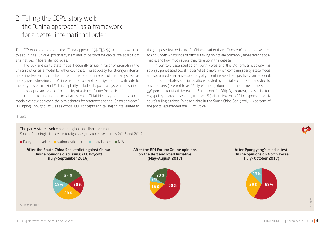# 2. Telling the CCP's story well: the "China approach" as a framework for a better international order

The CCP wants to promote the "China approach" (中国方案), a term now used to set China's "unique" political system and its party-state capitalism apart from alternatives in liberal democracies.

The CCP and party-state media frequently argue in favor of promoting the China solution as a model for other countries. The advocacy for stronger international involvement is couched in terms that are reminiscent of the party's revolutionary past, stressing China's international role and its obligation to "contribute to the progress of mankind."<sup>10</sup> This explicitly includes its political system and various other concepts, such as the "community of a shared future for mankind."

In order to understand to what extent official ideology permeates social media, we have searched the two debates for references to the "China approach," "Xi Jinping Thought," as well as official CCP concepts and talking points related to the (supposed) superiority of a Chinese rather than a "Western" model. We wanted to know both what kinds of official talking points are commonly repeated on social media, and how much space they take up in the debate.

In our two case studies on North Korea and the BRI, official ideology has strongly penetrated social media. What is more, when comparing party-state media and social media narratives, a strong alignment in overall perspectives can be found.

In both debates, official positions posted by official accounts or reposted by private users (referred to as "Party Warriors"), dominated the online conversation (58 percent for North Korea and 60 percent for BRI). By contrast, in a similar foreign policy-related case study from 2016 (calls to boycott KFC in response to a UN court's ruling against Chinese claims in the South China Sea<sup>11</sup>) only 20 percent of the posts represented the CCP's "voice."

Figure 1

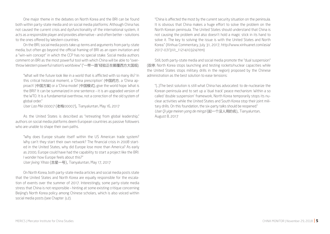One major theme in the debates on North Korea and the BRI can be found both within party-state media and on social media platforms: Although China has not caused the current crisis and dysfunctionality of the international system, it acts as a responsible player and provides alternative – and often better – solutions to the ones offered by Western countries.

On the BRI, social media posts take up terms and arguments from party-state media, but often go beyond the official framing of BRI as an open invitation and a "win-win concept" in which the CCP has no special stake. Social media authors comment on BRI as the most powerful tool with which China will be able to "overthrow Western powerful nation's worldview" ("一带一路"经验正在颠覆西方大国观).

"What will the future look like in a world that is afflicted with so many ills? In this critical historical moment, a 'China prescription' (中国药方, a 'China approach' (中国方案) or a 'China model' (中国模式), give the world hope. What is the BRI? It can be summarized in one sentence – it is an upgraded version of the WTO. It is a fundamental overthrow, not a correction of the old system of global order."

*User Lao Mei 00007* (老梅00007), Tianyaluntan, May 16, 2017

As the United States is described as "retreating from global leadership," authors on social media platforms deem European countries as passive followers who are unable to shape their own paths.

"Why does Europe situate itself within the US American trade system? Why can't they start their own network? The financial crisis in 2008 started in the United States, why did Europe lose more than America? As early as 2000, Europe could have had the capability to start a project like the BRI. I wonder how Europe feels about this?"

*User Jixing Yihao* (吉星一号), Tianyaluntan, May 17, 2017

On North Korea, both party-state media articles and social media posts state that the United States and North Korea are equally responsible for the escalation of events over the summer of 2017. Interestingly, some party-state media stress that China is not responsible – hinting at some existing critique concerning Beijing's North Korea policy among Chinese scholars, which is also voiced within social media posts (see Chapter 3.2).

"China is affected the most by the current security situation on the peninsula. It is obvious that China makes a huge effort to solve the problem on the North Korean peninsula. The United States should understand that China is not causing the problem and also doesn't hold a magic stick in its hand to solve it. The key to solving the issue is with the United States and North Korea." (Xinhua Commentary, July 31, 2017, http://www.xinhuanet.com/asia/ 2017-07/31/c\_1121410324.htm)

Still, both party-state media and social media promote the "dual suspension" (双停; North Korea stops launching and testing rockets/nuclear capacities while the United States stops military drills in the region) proposed by the Chinese administration as the best solution to ease tensions:

"(…)The best solution is still what China has advocated: to de-nuclearize the Korean peninsula and to set up a 'dual track' peace mechanism: Within a so called 'double suspension' framework, North Korea temporarily stops its nuclear activities while the United States and South Korea stop their joint military drills. On this foundation, the six-party talks should be reopened." *User Qi yige meiren yong de mingzi* (起一个没人用的名), Tianyaluntan, August 8, 2017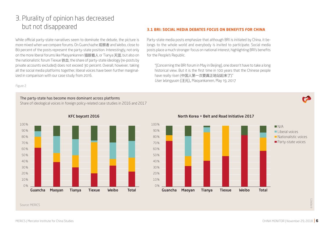# 3. Plurality of opinion has decreased but not disappeared

While official party-state narratives seem to dominate the debate, the picture is more mixed when we compare forums. On Guanchazhe 观察者 and Weibo, close to 80 percent of the posts represent the party-state position. Interestingly, not only on the more liberal forums like Maoyankanren 猫眼看人 or Tianya 天涯, but also on the nationalistic forum Tiexue 铁血, the share of party-state ideology (re-posts by private accounts excluded) does not exceed 30 percent. Overall, however, taking all the social media platforms together, liberal voices have been further marginalized in comparison with our case study from 2016.

#### **3.1 BRI: SOCIAL MEDIA DEBATES FOCUS ON BENEFITS FOR CHINA**

Party-state media posts emphasize that although BRI is initiated by China, it belongs to the whole world and everybody is invited to participate. Social media posts place a much stronger focus on national interest, highlighting BRI's benefits for the People's Republic.

"[Concerning the BRI forum in May in Beijing], one doesn't have to take a long historical view. But it is the first time in 100 years that the Chinese people have really risen (中国人第一次要真正地站起来了)." *User Wangyuan* (汪元), Maoyankanren, May 19, 2017

Figure 2

### The party-state has become more dominant across platforms Share of ideological voices in foreign policy-related case studies in 2016 and 2017



North Korea + Belt and Road Initiative 2017



Source: MERICS

© MERICS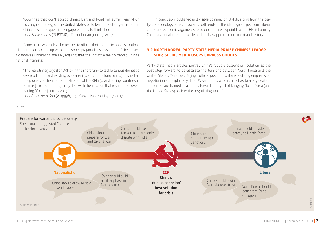"Countries that don't accept China's Belt and Road will suffer heavily! (…) To cling (to the leg) of the United States or to lean on a stronger protector, China, this is the question Singapore needs to think about." *User Shi wumao a* (是五毛啊), Tiexueluntan, June 15, 2017

Some users who subscribe neither to official rhetoric nor to populist nationalist sentiments came up with more sober, pragmatic assessments of the strategic motives underlying the BRI, arguing that the initiative mainly served China's national interests:

"The real strategic goal of BRI is – in the short run – to tackle serious domestic overproduction and existing overcapacity, and, in the long run, (…) to shorten the process of the internationalization of the RMB (…) and letting countries in [China's] circle of friends jointly deal with the inflation that results from overissuing [China's] currency. (…)."

*User Bulao de A Gan* (不老的阿甘), Maoyankanren, May 23, 2017

In conclusion, published and visible opinions on BRI diverting from the party-state ideology stretch towards both ends of the ideological spectrum. Liberal critics use economic arguments to support their viewpoint that the BRI is harming China's national interests, while nationalists appeal to sentiment and history.

### **3.2 NORTH KOREA: PARTY-STATE MEDIA PRAISE CHINESE LEADER-SHIP, SOCIAL MEDIA USERS EXPRESS DOUBTS**

Party-state media articles portray China's "double suspension" solution as the best step forward to de-escalate the tensions between North Korea and the United States. Moreover, Beijing's official position contains a strong emphasis on negotiation and diplomacy. The UN sanctions, which China has to a large extent supported, are framed as a means towards the goal of bringing North Korea (and the United States) back to the negotiating table.13

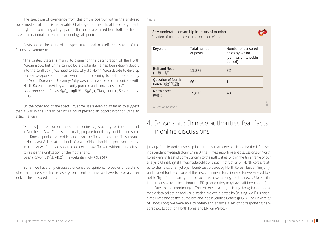The spectrum of divergence from this official position within the analyzed social media platforms is remarkable. Challenges to the official line of argument, although far from being a large part of the posts, are raised from both the liberal as well as nationalistic end of the ideological spectrum.

Posts on the liberal end of the spectrum appeal to a self-assessment of the Chinese government:

"The United States is mainly to blame for the deterioration of the North Korean issue, but China cannot be a bystander, is has been drawn deeply into the conflict. (…) We need to ask, why did North Korea decide to develop nuclear weapons and doesn't want to stop, claiming to feel threatened by the South Korean and US army? Why wasn't China able to communicate with North Korea on providing a security promise and a nuclear shield?" *User Hongguan tianxia 6985* (鴻觀天下6985), Tianyaluntan, September 7, 2017

On the other end of the spectrum, some users even go as far as to suggest that a war in the Korean peninsula could present an opportunity for China to attack Taiwan:

"So, this [the tension on the Korean peninsula] is adding to risk of conflict in Northeast Asia. China should really prepare for military conflict, and solve the Korean peninsula conflict and also the Taiwan problem. This means, if Northeast Asia is at the brink of a war, China should support North Korea in a 'proxy war,' and we should consider to take Taiwan without much fuss, to realize the unification of the motherland." *User Tianjian 62* (田间62), Tiexueluntan, July 30, 2017

So far, we have only discussed uncensored opinions. To better understand whether online speech crosses a government red line, we have to take a closer look at the censored posts.

Figure 4

#### Very moderate censorship in terms of numbers Relation of total and censored posts on Weibo

| Keyword                                  | Total number<br>of posts | Number of censored<br>posts by Weibo<br>(permission to publish<br>denied) |          |
|------------------------------------------|--------------------------|---------------------------------------------------------------------------|----------|
| <b>Belt and Road</b><br>(一带一路)           | 11,272                   | 32                                                                        |          |
| <b>Question of North</b><br>Korea (朝鲜问题) | 664                      | 1                                                                         |          |
| North Korea<br>(朝鲜)                      | 19,872                   | 43                                                                        |          |
| Source: Weiboscope                       |                          |                                                                           | O MERICS |

## 4. Censorship: Chinese authorities fear facts in online discussions

Judging from leaked censorship instructions that were published by the US-based independent media platform China Digital Times, reporting and discussions on North Korea were at least of some concern to the authorities. Within the time frame of our analysis, China Digital Times made public one such instruction on North Korea, related to the news of a hydrogen bomb test ordered by North Korean leader Kim Jongun. It called for the closure of the news comment function and for website editors not to "hype" it – meaning not to place this news among the top news.14 No similar instructions were leaked about the BRI (though they may have still been issued).

Due to the monitoring effort of Weiboscope, a Hong Kong-based social media data collection and visualization project initiated by Dr. King-wa Fu is Associate Professor at the Journalism and Media Studies Centre (JMSC), The University of Hong Kong, we were able to obtain and analyze a set of corresponding censored posts both on North Korea and BRI on Weibo.<sup>15</sup>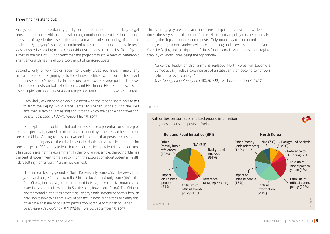#### Three findings stand out:

Firstly, contributions containing (background) information are more likely to get censored than posts with nationalistic or any emotional content like slander or expressions of rage. In the case of the North Korea, the sole mentioning of anearthquake on Pyongyang's soil [later confirmed to result from a nuclear missile rest] was censored, according to the censorship instructions obtained by China Digital Times. In the case of BRI, concerns that this project may stoke fears of hegemonic intent among China's neighbors top the list of censored posts.

Secondly, only a few topics seem to clearly cross red lines, namely any critical reference to Xi Jinping or to the Chinese political system or to the impact on Chinese people's lives. The latter aspect also covers a large part of the overall censored posts on both North Korea and BRI. In one BRI-related discussion, a seemingly common request about temporary traffic restrictions was censored:

"I am kindly asking people who are currently on the road to share how to get to from the Bejjing World Trade Center to Anzhen Bridge during the 'Belt and Road summit'? I am asking about roads which the people can travel on?" *User Zhao Dabao* (赵大宝), Weibo, May 15, 2017

One explanation could be that authorities sense a potential for offline protests at specifically named locations, as mentioned by other researchers on censorship in China. Adding to this observation is the fact that posts discussing real and potential dangers of the missile tests in North Korea are clear targets for censorship: the CCP seems to fear that eminent, collectively felt danger could mobilize people against the government. In the following example, the author blames the central government for failing to inform the population about potential health risk resulting from a North Korean nuclear test.

"The nuclear testing ground of North Korea is only some 400 miles away from Japan, and only 80 miles from the Chinese border, and only some 360 miles from Changchun and 450 miles from Harbin. Now, radioactively contaminated material has been discovered in South Korea, how about China? The Chinese environmental authorities haven't issued any single statement on this, heaven only knows how things are. I would ask the Chinese authorities to clarify this. If we have an issue of pollution, people should move to Yunnan or Hainan..." *User Feiben de xiaolang* (飞奔的笑狼), Weibo, September 15, 2017

Thirdly, many gray areas remain, since censorship is not consistent. While sometimes the very same critique on China's North Korean policy can be found also among the Top 20 non-censored posts. Only nuances are considered too sensitive, e.g. arguments and/or evidence for strong undercover support for North Korea by Beijing and a critique that China's fundamental assumptions about regime stability of North Korea being the top priority:

"Once the leader of this regime is replaced, North Korea will become a democracy (…) Today's core interest of a state can then become tomorrow's liabilities or even damage."

*User Xiangjunliao Zhenghua* (湘军廖正华), Weibo, September 9, 2017

Figure 5

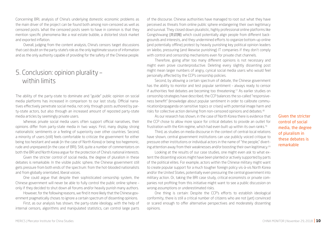Concerning BRI, analysis of China's underlying domestic economic problems as the main driver of the project can be found both among non-censored as well as censored posts. What the censored posts seem to have in common is that they mention specific phenomena like a real estate bubble, a distorted stock market and exported inflation.

Overall, judging from the content analysis, China's censors target discussions that cast doubt on the party-state's role as the only legitimate source of information and as the only authority capable of providing for the safety of the Chinese people.

## 5. Conclusion: opinion plurality – within limits

The ability of the party-state to dominate and "guide" public opinion on social media platforms has increased in comparison to our last study. Official narratives effectively penetrate social media, not only through posts authored by party-state actors, but also through an increased amount of reposted party-state media articles by seemingly private users.

Whereas private social media users often support official narratives, their opinions differ from party-state media in two ways: First, many display strong nationalistic sentiments or a feeling of superiority over other countries. Second, a minority of users (still) feels comfortable to criticize the government for either being too hesitant and weak (in the case of North Korea) or being too hegemonic, rude and unprepared (in the case of BRI). Still, quite a number of commentators on both the BRI and North Korea argue for the protection of China's national interests.

Given the stricter control of social media, the degree of pluralism in these debates is remarkable. In the visible public sphere, the Chinese government still gets pressure from both ends of the spectrum: from the hot-blooded nationalists and from globally orientated, liberal voices.

One could argue that despite their sophisticated censorship system, the Chinese government will never be able to fully control the public online sphere – only if they decided to shut down all forums and/or heavily punish many authors.

However, for the following reasons, we find it more likely that the Chinese government pragmatically choses to ignore a certain spectrum of dissenting opinions.

First, as our analysis has shown, the party-state ideology, with the help of internal censors, algorithms and manipulated statistics, can control large parts of the discourse. Chinese authorities have managed to root out what they have perceived as threats from online public sphere endangering their own legitimacy and survival. They closed down pluralistic, highly professional online platforms like Gongshiwang (共识网) which could potentially align people from different backgrounds and interests, and they undermined efforts to organize bottom-up online (and potentially offline) protest by heavily punishing key political opinion leaders on Weibo, pressuring (and likewise punishing) IT companies if they don't comply with control and censorship mechanisms even for private chat channels.

Therefore, going after too many different opinions is not necessary and might even prove counterproductive. Deleting every slightly dissenting post might mean larger numbers of angry, cynical social media users who would feel personally affected by the CCP's censorship policies.

Second, by allowing a certain spectrum of debate, the Chinese government has the ability to monitor and test popular sentiment – always ready to censor if authorities feel debates are becoming too threatening.17 As earlier studies on censorship strategies have described, the CCP balances the so-called "responsiveness benefit" (knowledge about popular sentiment in order to calibrate communication/propaganda on sensitive topics or crises) with potential image harm and risks for collective action deriving from non-censored opinions and debates.<sup>18</sup>

As our research has shown, in the case of North Korea there is evidence that the CCP chose to allow more space for critical debates to provide an outlet for frustration with the Kim regime, which had even built up within its own ranks.19

Third, as studies on media discourse in the context of central-local relations have shown, central government institutions can use publicly voiced critique to pressure other institutions or individual actors in the name of "the people," diverting attention away from their weaknesses and/or boosting their own legitimacy.<sup>20</sup>

Looking at the results of our case studies, one might even ask to what extent the dissenting voices might have been planted or actively supported by parts of the political elites. For example, actors within the Chinese military might want to create popular support for a much tougher foreign policy vis-à-vis North Korea and/or the United States, potentially even pressuring the central government into military action. Or, taking the BRI case study, critical economists or private companies not profiting from this initiative might want to see a public discussion on wrong assumptions or underestimated risks.

One thing is certain: Despite the CCP's efforts to establish ideological conformity, there is still a critical number of citizens who are not (yet) convinced or scared enough to offer alternative perspectives and moderately dissenting opinions.

Given the stricter control of social media, the degree of pluralism in these debates is remarkable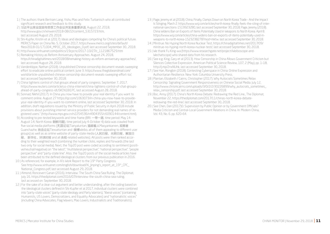- 1 | The authors thank Bertram Lang, Yishu Mao and Felix Turbanisch who all contributed significant research and feedback to this study.
- 2 | 习近平出席全国宣传思想工作会议并发表重要讲话, August 22, 2018, http://www.gov.cn/xinwen/2018-08/22/content\_5315723.htm, last accessed August 29, 2018.
- 3 | Shi-Kupfer, Kristin et al. (2017): Ideas and ideologies competing for China's political future. MERICS Paper on China No. 5, October 2017, https://www.merics.org/sites/default/ files/2018-01/171004 MPOC\_05\_Ideologies\_0.pdf, last accessed September 30., 2018.
- 4 | http://www.xinhuanet.com/politics/19cpcnc/2017-10/27/c\_1121867529.htm
- 5 | Remaking History as Reform Anniversary Approaches. August 24, 2018, https://chinadigitaltimes.net/2018/08/remaking-history-as-reform-anniversary-approaches/, last accessed August 28, 2018.
- 6 | Vanderklippe, Nathan (2018). Unpublished Chinese censorship document reveals sweeping effort to eradicate online political content. June 3. https://www.theglobeandmail.com/ world/article-unpublished-chinese-censorship-document-reveals-sweeping-effort-to/, last accessed September 30, 2018.
- 7 | China tightens control of chat groups ahead of party congress. September 7, 2017. https://www.reuters.com/article/us-china-internet/china-tightens-control-of-chat-groupsahead-of-party-congress-idUSKCN1BI1PC, last accessed August 28, 2018.
- 8 | Sonnad, Nikhil (2017). In China you now have to provide your real identity if you want to comment online. August 27 https://qz.com/1063073/in-china-you-now-have-to-provideyour-real-identity-if-you-want-to-comment-online, last accessed September 30, 2018. In addition, draft regulations issued by the Ministry of Public Security in April 2018 include provisions about punishing internet service providers for not demanding real names of registered users." (http://www.mps.gov.cn/n2254536/n4904355/c6090144/content.html).
- 9 | According to pre-tested keywords and time frame (BRI: 一带一路, time period: May 14- August 14; North Korea: 朝鲜问题), time period July 4-October 4) data was crawled from five social media platforms (天涯论坛Tianyaluntan, 猫眼看人Maoyankanren, 观察者 Guanchazhe, 铁血论坛Tiexueluntan and 微博Weibo, all of them appealing to different user groups) as well as as online website of party-state media (人民日报,光明日报,解放日 报, 新华社,环球时报 and all 央视-related websites). All posts were then ranked according to their weighted reach (combining the number clicks, replies and forwards (the last two only for social media). Next, the Top20 post were coded according to sentiment (positive/neutral/negative) on "the West", "multilateral perspective", "national perspective", "people perspective" and "party-state line". Also, the Top20 posts of the social media articles have been attributed to the defined ideological clusters from our previous publication in 2016.
- 10 | As referenced, for example, in Xi's Work Report to the 19th Party Congress. See http://www.xinhuanet.com/english/download/Xi\_Jinping's\_report\_at\_19th\_CPC\_ National\_Congress.pdf, last accessed August 29, 2018.
- 11 | Almond, Roncevert Ganan (2016). Interview: The South China Sea Ruling. The Diplomat, July 16, https://thediplomat.com/2016/07/interview-the-south-china-sea-ruling, last accessed on: September 30, 2018.
- 12 | For the sake of a clear-cut argument and better understanding, after the coding based on the ideological clusters defined in Shi-Kupfer et al 2017, individual clusters were combined into "party-state voices" (party-state ideology and Party Warriors), "liberal voices" (containing Humanists, US Lovers, Democratizers, and Equality Advocates) and "nationalistic voices" (including China Advocates, Flag Wavers, Mao Lovers, Industrialists and Traditionalists).
- 13 | Page, Jeremy et al (2018). China, Finally, Clamps Down on North Korea Trade And the Impact Is Stinging. March 2. https://www.wsj.com/articles/north-korea-finally-feels-the-sting-of-international-sanctions-1519923280, last accessed September 30, 2018; Page, Jeremy (2018). China Widens Ban on Exports of Items Potentially Used in Weapons to North Korea. April 8. https://www.wsj.com/articles/china-widens-ban-on-exports-of-items-potentially-used-inweapons-to-north-korea-1523238278?mod=mktw. last accessed September 30, 2018.
- 14 | Minitrue: No Hyping North Korea Nuclear Test, https://chinadigitaltimes.net/2017/09/ minitrue-no-hyping-north-korea-nuclear-test/, last accessed September 30, 2018.
- 15 | We thank Fu King-wa (https://www.researchgate.net/project/Weiboscope-and-Wechatscope) who shared data from his research.
- 16 | See e.g. King, Gary et al (2013). How Censorship in China Allows Government Criticism but Silences Collective Expression. American Political Science Review, 107, 2 (May), pp. 1–18, http://j.mp/2nxNUhk, last accessed September 30, 2018.
- 17 | See Han, Rongbin (2018). Contesting Cyberspace in China: Online Expression and Authoritarian Resilience. New York: Columbia University Press.
- 18 | Plantan, Elizabeth / Cairns, Christopher (2017). Why Autocrats Sometimes Relax Censorship: Signaling Government Responsiveness on Chinese Social Media. July 12, http://www.chrismcairns.com/uploads/3/0/2/2/30226899/why\_autocrats\_sometimes\_ relax\_censorship.pdf, last accessed September 30, 2018.
- 19 | Boc, Anny (2017). China's North Korea Debate: Redrawing the Red Line., The Diplomat, November 22, https://thediplomat.com/2017/11/chinas-north-korea-debateredrawing-the-red-line/, last accessed September 30, 2018.
- 20 | See Chen, Dan (2017)0. Supervision by Public Opinion or by Government Officials? Media Criticism and Central-Local Government Relations in China. In: Modern China, Vol. 43, No. 6. pp. 620–64.